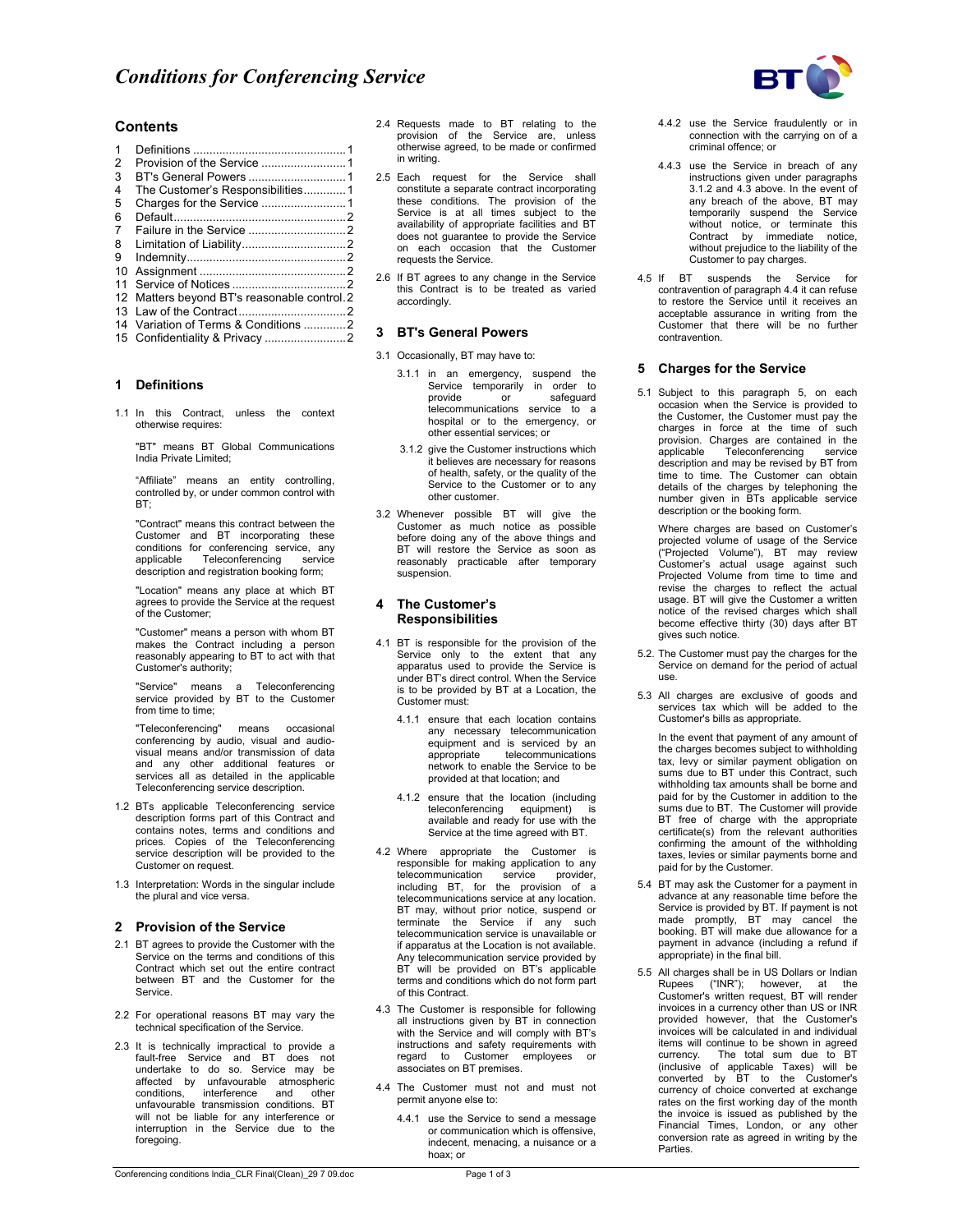

## **Contents**

| 1              |                                           |  |
|----------------|-------------------------------------------|--|
| $\overline{2}$ |                                           |  |
| 3              |                                           |  |
| 4              | The Customer's Responsibilities1          |  |
| 5              |                                           |  |
| 6              |                                           |  |
| 7              |                                           |  |
| 8              |                                           |  |
| 9              |                                           |  |
| 10             |                                           |  |
| 11             |                                           |  |
| 12             | Matters beyond BT's reasonable control. 2 |  |
|                |                                           |  |
|                | 14 Variation of Terms & Conditions 2      |  |
| 15             |                                           |  |
|                |                                           |  |

#### **1 Definitions**

1.1 In this Contract, unless the context otherwise requires:

"BT" means BT Global Communications India Private Limited;

"Affiliate" means an entity controlling, controlled by, or under common control with BT;

"Contract" means this contract between the Customer and BT incorporating these conditions for conferencing service, any applicable Teleconferencing service description and registration booking form;

"Location" means any place at which BT agrees to provide the Service at the request of the Customer;

"Customer" means a person with whom BT makes the Contract including a person reasonably appearing to BT to act with that Customer's authority;

"Service" means a Teleconferencing service provided by BT to the Customer from time to time:

"Teleconferencing" means occasional conferencing by audio, visual and audio-visual means and/or transmission of data and any other additional features or services all as detailed in the applicable Teleconferencing service description.

- 1.2 BTs applicable Teleconferencing service description forms part of this Contract and contains notes, terms and conditions and prices. Copies of the Teleconferencing service description will be provided to the Customer on request.
- 1.3 Interpretation: Words in the singular include the plural and vice versa.

#### **2 Provision of the Service**

- 2.1 BT agrees to provide the Customer with the Service on the terms and conditions of this Contract which set out the entire contract between BT and the Customer for the Service.
- 2.2 For operational reasons BT may vary the technical specification of the Service.
- 2.3 It is technically impractical to provide a fault-free Service and BT does not undertake to do so. Service may be affected by unfavourable atmospheric conditions, interference and other unfavourable transmission conditions. BT will not be liable for any interference or interruption in the Service due to the foregoing.
- 2.4 Requests made to BT relating to the provision of the Service are, unless otherwise agreed, to be made or confirmed in writing.
- 2.5 Each request for the Service shall constitute a separate contract incorporating these conditions. The provision of the Service is at all times subject to the availability of appropriate facilities and BT does not guarantee to provide the Service on each occasion that the Customer requests the Service.
- 2.6 If BT agrees to any change in the Service this Contract is to be treated as varied accordingly.

## **3 BT's General Powers**

- 3.1 Occasionally, BT may have to:
	- 3.1.1 in an emergency, suspend the Service temporarily in order to provide or safeguard telecommunications service to a hospital or to the emergency, or other essential services; or
	- 3.1.2 give the Customer instructions which it believes are necessary for reasons of health, safety, or the quality of the Service to the Customer or to any other customer.
- 3.2 Whenever possible BT will give the Customer as much notice as possible before doing any of the above things and BT will restore the Service as soon as reasonably practicable after temporary suspension.

#### **4 The Customer's Responsibilities**

- 4.1 BT is responsible for the provision of the Service only to the extent that any apparatus used to provide the Service is under BT's direct control. When the Service is to be provided by BT at a Location, the Customer must:
	- 4.1.1 ensure that each location contains any necessary telecommunication equipment and is serviced by an appropriate telecommunications network to enable the Service to be provided at that location; and
	- 4.1.2 ensure that the location (including teleconferencing equipment) available and ready for use with the Service at the time agreed with BT.
- 4.2 Where appropriate the Customer is responsible for making application to any telecommunication service provider, including BT, for the provision of a telecommunications service at any location. BT may, without prior notice, suspend or terminate the Service if any such telecommunication service is unavailable or if apparatus at the Location is not available. Any telecommunication service provided by BT will be provided on BT's applicable terms and conditions which do not form part of this Contract.
- 4.3 The Customer is responsible for following all instructions given by BT in connection with the Service and will comply with BT's instructions and safety requirements with regard to Customer employees or associates on BT premises.
- 4.4 The Customer must not and must not permit anyone else to:
	- 4.4.1 use the Service to send a message or communication which is offensive, indecent, menacing, a nuisance or a hoax; or
- 4.4.2 use the Service fraudulently or in connection with the carrying on of a criminal offence; or
- 4.4.3 use the Service in breach of any instructions given under paragraphs 3.1.2 and 4.3 above. In the event of any breach of the above, BT may temporarily suspend the Service without notice, or terminate this Contract by immediate notice, without prejudice to the liability of the Customer to pay charges.
- 4.5 If BT suspends the Service contravention of paragraph 4.4 it can refuse to restore the Service until it receives an acceptable assurance in writing from the Customer that there will be no further contravention.

#### **5 Charges for the Service**

5.1 Subject to this paragraph 5, on each occasion when the Service is provided to the Customer, the Customer must pay the charges in force at the time of such provision. Charges are contained in the<br>applicable Teleconferencing service Teleconferencing description and may be revised by BT from time to time. The Customer can obtain details of the charges by telephoning the number given in BTs applicable service description or the booking form.

 Where charges are based on Customer's projected volume of usage of the Service ("Projected Volume"), BT may review Customer's actual usage against such Projected Volume from time to time and revise the charges to reflect the actual usage. BT will give the Customer a written notice of the revised charges which shall become effective thirty (30) days after BT gives such notice.

- 5.2. The Customer must pay the charges for the Service on demand for the period of actual use.
- 5.3 All charges are exclusive of goods and services tax which will be added to the Customer's bills as appropriate.

In the event that payment of any amount of the charges becomes subject to withholding tax, levy or similar payment obligation on sums due to BT under this Contract, such withholding tax amounts shall be borne and paid for by the Customer in addition to the sums due to BT. The Customer will provide BT free of charge with the appropriate certificate(s) from the relevant authorities confirming the amount of the withholding taxes, levies or similar payments borne and paid for by the Customer.

- 5.4 BT may ask the Customer for a payment in advance at any reasonable time before the Service is provided by BT. If payment is not made promptly, BT may cancel the booking. BT will make due allowance for a payment in advance (including a refund if appropriate) in the final bill.
- 5.5 All charges shall be in US Dollars or Indian Rupees ("INR"); however, at the Customer's written request, BT will render invoices in a currency other than US or INR provided however, that the Customer's invoices will be calculated in and individual items will continue to be shown in agreed currency. The total sum due to BT (inclusive of applicable Taxes) will be converted by BT to the Customer's currency of choice converted at exchange rates on the first working day of the month the invoice is issued as published by the Financial Times, London, or any other conversion rate as agreed in writing by the **Parties**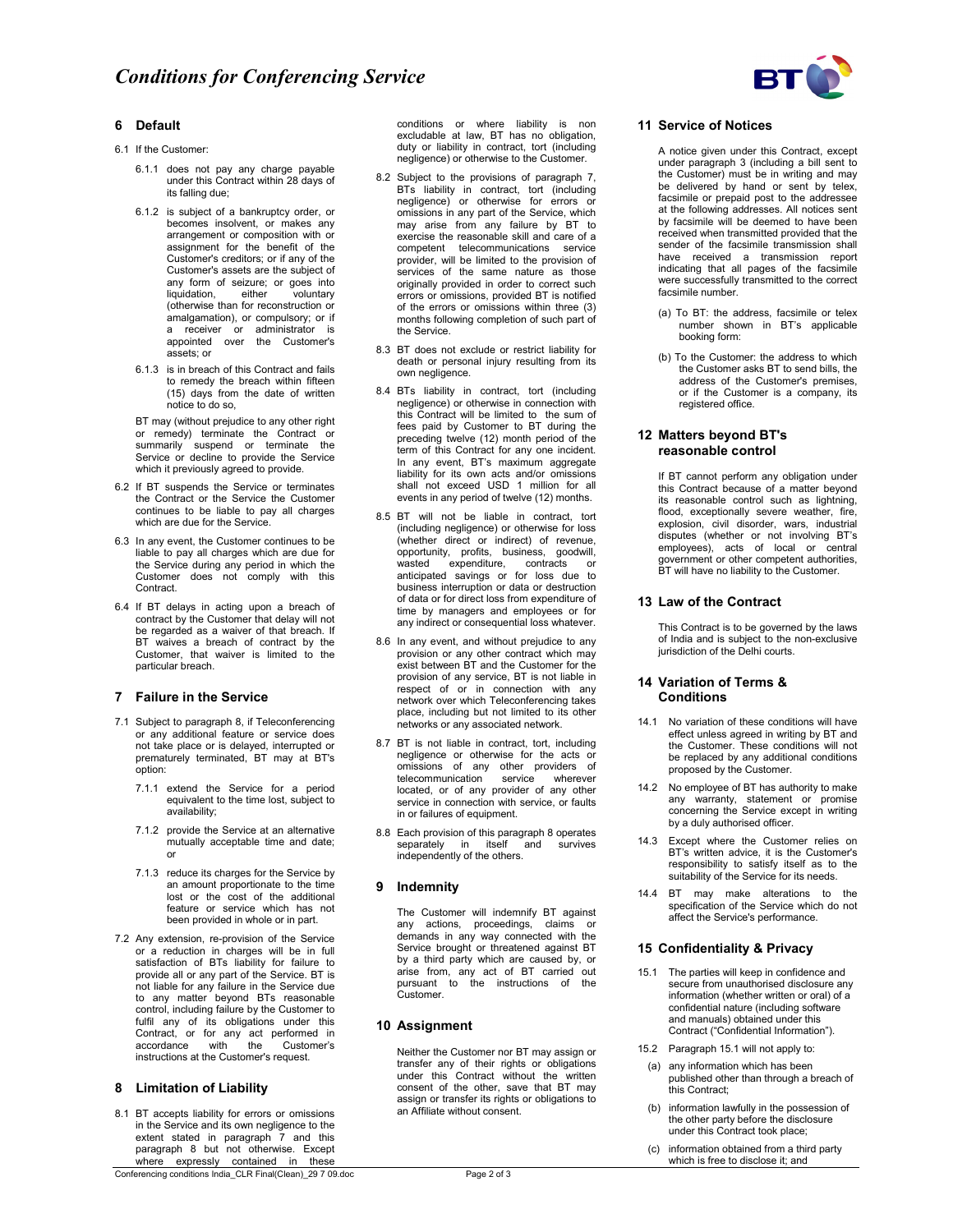

## **6 Default**

- 6.1 If the Customer:
	- 6.1.1 does not pay any charge payable under this Contract within 28 days of its falling due;
	- 6.1.2 is subject of a bankruptcy order, or becomes insolvent, or makes any arrangement or composition with or assignment for the benefit of the Customer's creditors; or if any of the Customer's assets are the subject of any form of seizure; or goes into liquidation, either voluntary (otherwise than for reconstruction or amalgamation), or compulsory; or if a receiver or administrator is appointed over the Customer's assets; or
	- 6.1.3 is in breach of this Contract and fails to remedy the breach within fifteen (15) days from the date of written notice to do so,

BT may (without prejudice to any other right or remedy) terminate the Contract or summarily suspend or terminate the Service or decline to provide the Service which it previously agreed to provide.

- 6.2 If BT suspends the Service or terminates the Contract or the Service the Customer continues to be liable to pay all charges which are due for the Service.
- 6.3 In any event, the Customer continues to be liable to pay all charges which are due for the Service during any period in which the Customer does not comply with this Contract.
- 6.4 If BT delays in acting upon a breach of contract by the Customer that delay will not be regarded as a waiver of that breach. If BT waives a breach of contract by the Customer, that waiver is limited to the particular breach.

#### **7 Failure in the Service**

- 7.1 Subject to paragraph 8, if Teleconferencing or any additional feature or service does not take place or is delayed, interrupted or prematurely terminated, BT may at BT's option:
	- 7.1.1 extend the Service for a period equivalent to the time lost, subject to availability;
	- 7.1.2 provide the Service at an alternative mutually acceptable time and date; or
	- 7.1.3 reduce its charges for the Service by an amount proportionate to the time lost or the cost of the additional feature or service which has not been provided in whole or in part.
- 7.2 Any extension, re-provision of the Service or a reduction in charges will be in full satisfaction of BTs liability for failure to provide all or any part of the Service. BT is not liable for any failure in the Service due to any matter beyond BTs reasonable control, including failure by the Customer to fulfil any of its obligations under this Contract, or for any act performed in accordance with the Customer's instructions at the Customer's request.

#### **8 Limitation of Liability**

8.1 BT accepts liability for errors or omissions in the Service and its own negligence to the extent stated in paragraph 7 and this paragraph 8 but not otherwise. Except where expressly contained in these

conditions or where liability is non excludable at law, BT has no obligation, duty or liability in contract, tort (including negligence) or otherwise to the Customer.

- 8.2 Subject to the provisions of paragraph 7, BTs liability in contract, tort (including negligence) or otherwise for errors or omissions in any part of the Service, which may arise from any failure by BT to exercise the reasonable skill and care of a competent telecommunications service provider, will be limited to the provision of services of the same nature as those originally provided in order to correct such errors or omissions, provided BT is notified of the errors or omissions within three (3) months following completion of such part of the Service.
- 8.3 BT does not exclude or restrict liability for death or personal injury resulting from its own negligence.
- 8.4 BTs liability in contract, tort (including negligence) or otherwise in connection with this Contract will be limited to the sum of fees paid by Customer to BT during the preceding twelve (12) month period of the term of this Contract for any one incident. In any event, BT's maximum aggregate liability for its own acts and/or omissions shall not exceed USD 1 million for all events in any period of twelve (12) months.
- 8.5 BT will not be liable in contract, tort (including negligence) or otherwise for loss (whether direct or indirect) of revenue, opportunity, profits, business, goodwill, wasted expenditure, contracts or anticipated savings or for loss due to business interruption or data or destruction of data or for direct loss from expenditure of time by managers and employees or for any indirect or consequential loss whatever.
- 8.6 In any event, and without prejudice to any provision or any other contract which may exist between BT and the Customer for the provision of any service, BT is not liable in respect of or in connection with any network over which Teleconferencing takes place, including but not limited to its other networks or any associated network.
- 8.7 BT is not liable in contract, tort, including negligence or otherwise for the acts or omissions of any other providers of telecommunication service wherever located, or of any provider of any other service in connection with service, or faults in or failures of equipment.
- 8.8 Each provision of this paragraph 8 operates separately in itself and survives independently of the others.

### **9 Indemnity**

The Customer will indemnify BT against any actions, proceedings, claims or demands in any way connected with the Service brought or threatened against BT by a third party which are caused by, or arise from, any act of BT carried out pursuant to the instructions of the .<br>Customer.

#### **10 Assignment**

Neither the Customer nor BT may assign or transfer any of their rights or obligations under this Contract without the written consent of the other, save that BT may assign or transfer its rights or obligations to an Affiliate without consent.

## **11 Service of Notices**

A notice given under this Contract, except under paragraph 3 (including a bill sent to the Customer) must be in writing and may be delivered by hand or sent by telex, facsimile or prepaid post to the addressee at the following addresses. All notices sent by facsimile will be deemed to have been received when transmitted provided that the sender of the facsimile transmission shall have received a transmission report indicating that all pages of the facsimile were successfully transmitted to the correct facsimile number.

- (a) To BT: the address, facsimile or telex number shown in BT's applicable booking form:
- (b) To the Customer: the address to which the Customer asks BT to send bills, the address of the Customer's premises, or if the Customer is a company, its registered office.

## **12 Matters beyond BT's reasonable control**

 If BT cannot perform any obligation under this Contract because of a matter beyond its reasonable control such as lightning, flood, exceptionally severe weather, fire, explosion, civil disorder, wars, industrial disputes (whether or not involving BT's employees), acts of local or central government or other competent authorities, BT will have no liability to the Customer.

### **13 Law of the Contract**

 This Contract is to be governed by the laws of India and is subject to the non-exclusive jurisdiction of the Delhi courts.

## **14 Variation of Terms & Conditions**

- 14.1 No variation of these conditions will have effect unless agreed in writing by BT and the Customer. These conditions will not be replaced by any additional conditions proposed by the Customer.
- 14.2 No employee of BT has authority to make any warranty, statement or promise concerning the Service except in writing by a duly authorised officer.
- 14.3 Except where the Customer relies on BT's written advice, it is the Customer's responsibility to satisfy itself as to the suitability of the Service for its needs.
- 14.4 BT may make alterations to the specification of the Service which do not affect the Service's performance.

# **15 Confidentiality & Privacy**

- 15.1 The parties will keep in confidence and secure from unauthorised disclosure any information (whether written or oral) of a confidential nature (including software and manuals) obtained under this Contract ("Confidential Information").
- 15.2 Paragraph 15.1 will not apply to:
- (a) any information which has been published other than through a breach of this Contract;
- (b) information lawfully in the possession of the other party before the disclosure under this Contract took place;
- (c) information obtained from a third party which is free to disclose it; and